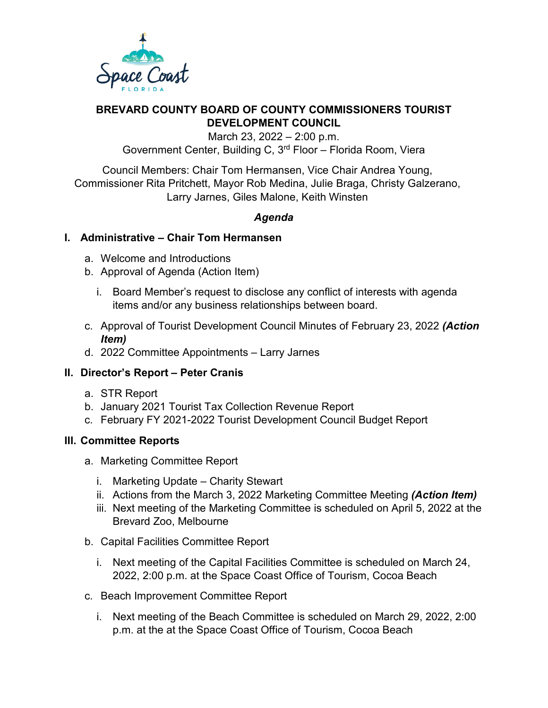

# **BREVARD COUNTY BOARD OF COUNTY COMMISSIONERS TOURIST DEVELOPMENT COUNCIL**

March 23, 2022 – 2:00 p.m. Government Center, Building C, 3rd Floor – Florida Room, Viera

Council Members: Chair Tom Hermansen, Vice Chair Andrea Young, Commissioner Rita Pritchett, Mayor Rob Medina, Julie Braga, Christy Galzerano, Larry Jarnes, Giles Malone, Keith Winsten

## *Agenda*

## **I. Administrative – Chair Tom Hermansen**

- a. Welcome and Introductions
- b. Approval of Agenda (Action Item)
	- i. Board Member's request to disclose any conflict of interests with agenda items and/or any business relationships between board.
- c. Approval of Tourist Development Council Minutes of February 23, 2022 *(Action Item)*
- d. 2022 Committee Appointments Larry Jarnes

## **II. Director's Report – Peter Cranis**

- a. STR Report
- b. January 2021 Tourist Tax Collection Revenue Report
- c. February FY 2021-2022 Tourist Development Council Budget Report

### **III. Committee Reports**

- a. Marketing Committee Report
	- i. Marketing Update Charity Stewart
	- ii. Actions from the March 3, 2022 Marketing Committee Meeting *(Action Item)*
	- iii. Next meeting of the Marketing Committee is scheduled on April 5, 2022 at the Brevard Zoo, Melbourne
- b. Capital Facilities Committee Report
	- i. Next meeting of the Capital Facilities Committee is scheduled on March 24, 2022, 2:00 p.m. at the Space Coast Office of Tourism, Cocoa Beach
- c. Beach Improvement Committee Report
	- i. Next meeting of the Beach Committee is scheduled on March 29, 2022, 2:00 p.m. at the at the Space Coast Office of Tourism, Cocoa Beach